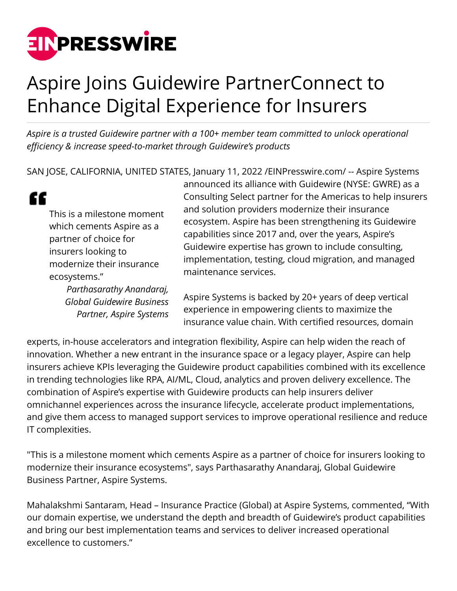

## Aspire Joins Guidewire PartnerConnect to Enhance Digital Experience for Insurers

*Aspire is a trusted Guidewire partner with a 100+ member team committed to unlock operational efficiency & increase speed-to-market through Guidewire's products*

SAN JOSE, CALIFORNIA, UNITED STATES, January 11, 2022 [/EINPresswire.com](http://www.einpresswire.com)/ -- Aspire Systems

"

This is a milestone moment which cements Aspire as a partner of choice for insurers looking to modernize their insurance ecosystems."

> *Parthasarathy Anandaraj, Global Guidewire Business Partner, Aspire Systems*

announced its alliance with Guidewire (NYSE: GWRE) as a Consulting Select partner for the Americas to help insurers and solution providers modernize their insurance ecosystem. Aspire has been strengthening its Guidewire capabilities since 2017 and, over the years, Aspire's Guidewire expertise has grown to include consulting, implementation, testing, cloud migration, and managed maintenance services.

Aspire Systems is backed by 20+ years of deep vertical experience in empowering clients to maximize the insurance value chain. With certified resources, domain

experts, in-house accelerators and integration flexibility, Aspire can help widen the reach of innovation. Whether a new entrant in the insurance space or a legacy player, Aspire can help insurers achieve KPIs leveraging the Guidewire product capabilities combined with its excellence in trending technologies like RPA, AI/ML, Cloud, analytics and proven delivery excellence. The combination of Aspire's expertise with Guidewire products can help insurers deliver omnichannel experiences across the insurance lifecycle, accelerate product implementations, and give them access to managed support services to improve operational resilience and reduce IT complexities.

"This is a milestone moment which cements Aspire as a partner of choice for insurers looking to modernize their insurance ecosystems", says Parthasarathy Anandaraj, Global Guidewire Business Partner, Aspire Systems.

Mahalakshmi Santaram, Head – Insurance Practice (Global) at Aspire Systems, commented, "With our domain expertise, we understand the depth and breadth of Guidewire's product capabilities and bring our best implementation teams and services to deliver increased operational excellence to customers."